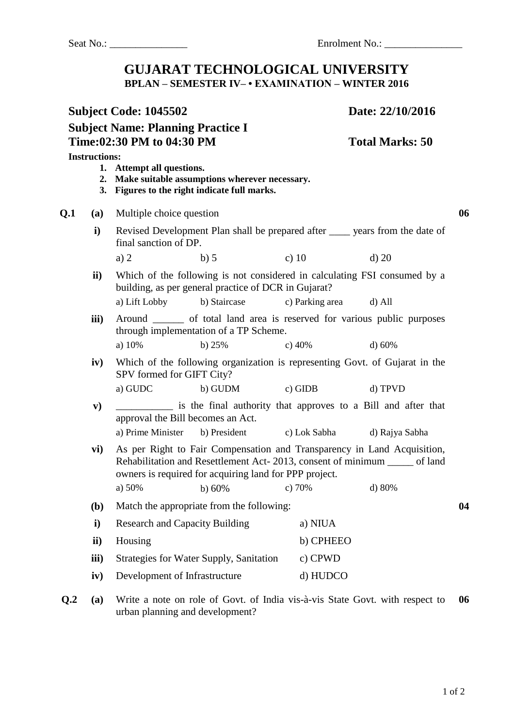## **GUJARAT TECHNOLOGICAL UNIVERSITY BPLAN – SEMESTER IV– • EXAMINATION – WINTER 2016**

| Subject Code: 1045502<br><b>Subject Name: Planning Practice I</b><br>Time:02:30 PM to 04:30 PM |                      |                                                                                                                               | Date: 22/10/2016                                                                                                                                       |    |  |
|------------------------------------------------------------------------------------------------|----------------------|-------------------------------------------------------------------------------------------------------------------------------|--------------------------------------------------------------------------------------------------------------------------------------------------------|----|--|
|                                                                                                |                      |                                                                                                                               | <b>Total Marks: 50</b>                                                                                                                                 |    |  |
|                                                                                                | <b>Instructions:</b> | 1. Attempt all questions.<br>2. Make suitable assumptions wherever necessary.<br>3. Figures to the right indicate full marks. |                                                                                                                                                        |    |  |
| Q.1                                                                                            | (a)                  | Multiple choice question                                                                                                      |                                                                                                                                                        | 06 |  |
|                                                                                                | $\mathbf{i}$         | final sanction of DP.                                                                                                         | Revised Development Plan shall be prepared after ______ years from the date of                                                                         |    |  |
|                                                                                                |                      | b) 5<br>a) $2$                                                                                                                | c) $10$<br>$d)$ 20                                                                                                                                     |    |  |
|                                                                                                | $\mathbf{ii}$        | building, as per general practice of DCR in Gujarat?                                                                          | Which of the following is not considered in calculating FSI consumed by a                                                                              |    |  |
|                                                                                                |                      | a) Lift Lobby<br>b) Staircase                                                                                                 | c) Parking area<br>d) All                                                                                                                              |    |  |
|                                                                                                | iii)                 | Around ________ of total land area is reserved for various public purposes<br>through implementation of a TP Scheme.          |                                                                                                                                                        |    |  |
|                                                                                                |                      | a) 10%<br>b) $25%$                                                                                                            | c) $40%$<br>d) 60%                                                                                                                                     |    |  |
|                                                                                                | iv)                  | Which of the following organization is representing Govt. of Gujarat in the<br>SPV formed for GIFT City?                      |                                                                                                                                                        |    |  |
|                                                                                                |                      | a) GUDC<br>b) GUDM                                                                                                            | $c)$ GIDB<br>d) TPVD                                                                                                                                   |    |  |
|                                                                                                | ${\bf v})$           | approval the Bill becomes an Act.                                                                                             | is the final authority that approves to a Bill and after that                                                                                          |    |  |
|                                                                                                |                      | a) Prime Minister                                                                                                             | b) President c) Lok Sabha<br>d) Rajya Sabha                                                                                                            |    |  |
|                                                                                                | vi)                  | owners is required for acquiring land for PPP project.                                                                        | As per Right to Fair Compensation and Transparency in Land Acquisition,<br>Rehabilitation and Resettlement Act-2013, consent of minimum ______ of land |    |  |
|                                                                                                |                      |                                                                                                                               | a) 50% b) 60% c) 70% d) 80%                                                                                                                            |    |  |
|                                                                                                | (b)                  | Match the appropriate from the following:                                                                                     |                                                                                                                                                        | 04 |  |
|                                                                                                | i)                   | <b>Research and Capacity Building</b>                                                                                         | a) NIUA                                                                                                                                                |    |  |
|                                                                                                | ii)                  | Housing                                                                                                                       | b) CPHEEO                                                                                                                                              |    |  |
|                                                                                                | iii)                 | Strategies for Water Supply, Sanitation                                                                                       | c) CPWD                                                                                                                                                |    |  |
|                                                                                                | iv)                  | Development of Infrastructure                                                                                                 | d) HUDCO                                                                                                                                               |    |  |

**Q.2 (a)** Write a note on role of Govt. of India vis-à-vis State Govt. with respect to **06**urban planning and development?